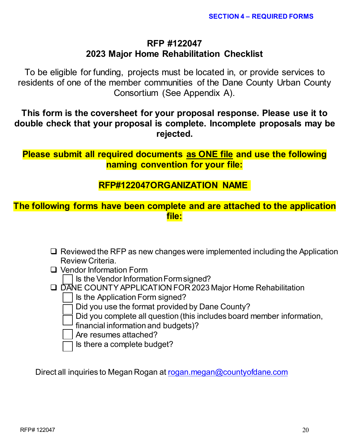# **RFP #122047 2023 Major Home Rehabilitation Checklist**

To be eligible for funding, projects must be located in, or provide services to residents of one of the member communities of the Dane County Urban County Consortium (See Appendix A).

**This form is the coversheet for your proposal response. Please use it to double check that your proposal is complete. Incomplete proposals may be rejected.**

**Please submit all required documents as ONE file and use the following naming convention for your file:**

## **RFP#122047ORGANIZATION NAME**

# **The following forms have been complete and are attached to the application file:**

- $\Box$  Reviewed the RFP as new changes were implemented including the Application Review Criteria.
- □ Vendor Information Form
	- Is the Vendor Information Form signed?
- DANE COUNTY APPLICATION FOR 2023 Major Home Rehabilitation
	- Is the Application Form signed?
	- Did you use the format provided by Dane County?
	- Did you complete all question (this includes board member information,
	- financial information and budgets)?
	- Are resumes attached?
	- Is there a complete budget?

Direct all inquiries to Megan Rogan at [rogan.megan@countyofdane.com](mailto:rogan.megan@countyofdane.com)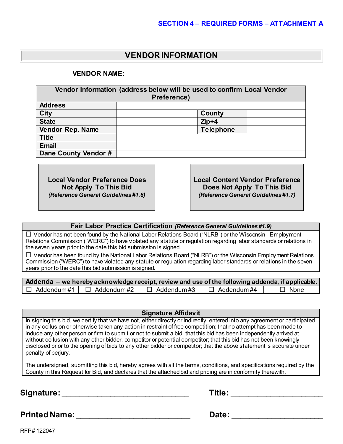## **VENDOR INFORMATION**

**VENDOR NAME:**

| Vendor Information (address below will be used to confirm Local Vendor<br>Preference) |  |                  |  |  |  |  |  |
|---------------------------------------------------------------------------------------|--|------------------|--|--|--|--|--|
| <b>Address</b>                                                                        |  |                  |  |  |  |  |  |
| <b>City</b>                                                                           |  | <b>County</b>    |  |  |  |  |  |
| <b>State</b>                                                                          |  | $Zip+4$          |  |  |  |  |  |
| Vendor Rep. Name                                                                      |  | <b>Telephone</b> |  |  |  |  |  |
| <b>Title</b>                                                                          |  |                  |  |  |  |  |  |
| <b>Email</b>                                                                          |  |                  |  |  |  |  |  |
| Dane County Vendor #                                                                  |  |                  |  |  |  |  |  |

**Local Vendor Preference Does Not Apply To This Bid** *(Reference General Guidelines #1.6)* **Local Content Vendor Preference Does Not Apply To This Bid** *(Reference General Guidelines #1.7)*

**Fair Labor Practice Certification** *(Reference General Guidelines #1.9)*

 $\Box$  Vendor has not been found by the National Labor Relations Board ("NLRB") or the Wisconsin Employment Relations Commission ("WERC") to have violated any statute or regulation regarding labor standards or relations in the seven years prior to the date this bid submission is signed.

 $\Box$  Vendor has been found by the National Labor Relations Board ("NLRB") or the Wisconsin Employment Relations Commission ("WERC") to have violated any statute or regulation regarding labor standards or relations in the seven years prior to the date this bid submission is signed.

|                                     | Addenda – we hereby acknowledge receipt, review and use of the following addenda, if applicable. |                   |             |
|-------------------------------------|--------------------------------------------------------------------------------------------------|-------------------|-------------|
| $\Box$ Addendum#1 $\Box$ Addendum#2 | $\Box$ Addendum#3                                                                                | $\Box$ Addendum#4 | $\Box$ None |

**Signature Affidavit**

In signing this bid, we certify that we have not, either directly or indirectly, entered into any agreement or participated in any collusion or otherwise taken any action in restraint of free competition; that no attempt has been made to induce any other person or firm to submit or not to submit a bid; that this bid has been independently arrived at without collusion with any other bidder, competitor or potential competitor; that this bid has not been knowingly disclosed prior to the opening of bids to any other bidder or competitor; that the above statement is accurate under penalty of perjury.

The undersigned, submitting this bid, hereby agrees with all the terms, conditions, and specifications required by the County in this Request for Bid, and declares that the attached bid and pricing are in conformity therewith.

**Signature:** \_\_\_\_\_\_\_\_\_\_\_\_\_\_\_\_\_\_\_\_\_\_\_\_\_\_\_\_\_ **Title:** \_\_\_\_\_\_\_\_\_\_\_\_\_\_\_\_\_\_\_\_\_

|  |  | <b>Fitle:</b> |  |  |  |  |
|--|--|---------------|--|--|--|--|
|  |  |               |  |  |  |  |
|  |  |               |  |  |  |  |
|  |  |               |  |  |  |  |
|  |  |               |  |  |  |  |

**Printed Name:** \_\_\_\_\_\_\_\_\_\_\_\_\_\_\_\_\_\_\_\_\_\_\_\_\_\_ **Date:** \_\_\_\_\_\_\_\_\_\_\_\_\_\_\_\_\_\_\_\_\_

RFP# 122047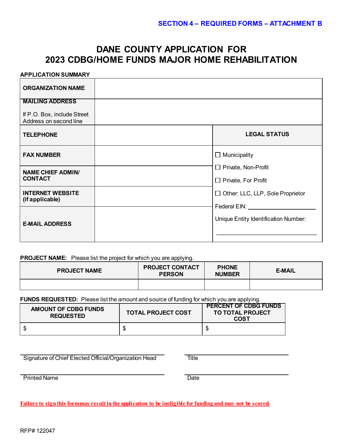## **DANE COUNTY APPLICATION FOR 2023 CDBG/HOME FUNDS MAJOR HOME REHABILITATION**

#### **APPLICATION SUMMARY**

| <b>ORGANIZATION NAME</b>                              |                                              |
|-------------------------------------------------------|----------------------------------------------|
| <b>MAILING ADDRESS</b><br>If P.O. Box, include Street |                                              |
| Address on second line                                |                                              |
| <b>TELEPHONE</b>                                      | <b>LEGAL STATUS</b>                          |
| <b>FAX NUMBER</b>                                     | $\Box$ Municipality                          |
| <b>NAME CHIEF ADMIN/</b>                              | $\Box$ Private, Non-Profit                   |
| <b>CONTACT</b>                                        | $\Box$ Private, For Profit                   |
| <b>INTERNET WEBSITE</b><br>(if applicable)            | $\Box$ Other: LLC, LLP, Sole Proprietor      |
|                                                       | Federal EIN: University of the Second Second |
| <b>E-MAIL ADDRESS</b>                                 | Unique Entity Identification Number:         |
|                                                       |                                              |

#### **PROJECT NAME:** Please list the project for which you are applying.

| <b>PROJECT NAME</b> | <b>PROJECT CONTACT</b><br><b>PERSON</b> | <b>PHONE</b><br><b>NUMBER</b> | <b>E-MAIL</b> |  |
|---------------------|-----------------------------------------|-------------------------------|---------------|--|
|                     |                                         |                               |               |  |

**FUNDS REQUESTED:** Please list the amount and source of funding for which you are applying.

| <b>AMOUNT OF CDBG FUNDS</b><br><b>REQUESTED</b> | <b>TOTAL PROJECT COST</b> | <b>PERCENT OF CDBG FUNDS</b><br><b>TO TOTAL PROJECT</b><br><b>COST</b> |  |
|-------------------------------------------------|---------------------------|------------------------------------------------------------------------|--|
|                                                 |                           |                                                                        |  |

Signature of Chief Elected Official/Organization Head Title

Printed Name

**Failure to sign this form may result in the application to be ineligible for funding and may not be scored.**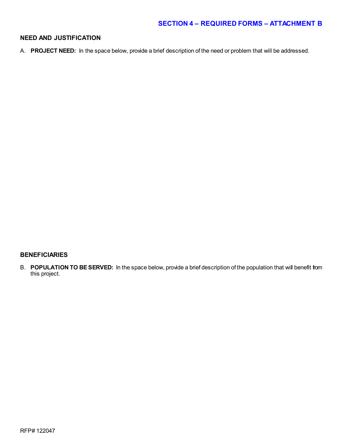#### **NEED AND JUSTIFICATION**

A. **PROJECT NEED:** In the space below, provide a brief description of the need or problem that will be addressed.

#### **BENEFICIARIES**

B. **POPULATION TO BE SERVED:** In the space below, provide a brief description of the population that will benefit from this project.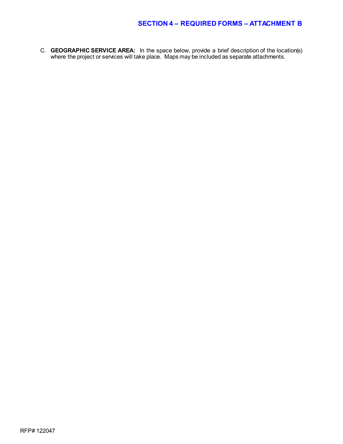C. **GEOGRAPHIC SERVICE AREA:** In the space below, provide a brief description of the location(s) where the project or services will take place. Maps may be included as separate attachments.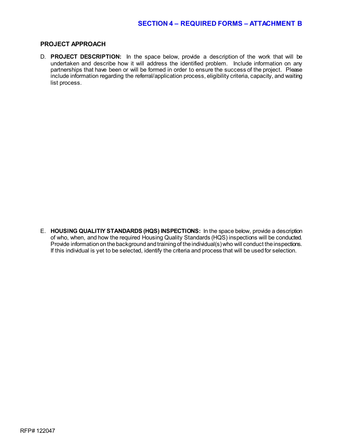#### **PROJECT APPROACH**

D. **PROJECT DESCRIPTION:** In the space below, provide a description of the work that will be undertaken and describe how it will address the identified problem. Include information on any partnerships that have been or will be formed in order to ensure the success of the project. Please include information regarding the referral/application process, eligibility criteria, capacity, and waiting list process.

E. **HOUSING QUALITIY STANDARDS (HQS) INSPECTIONS:** In the space below, provide a description of who, when, and how the required Housing Quality Standards (HQS) inspections will be conducted. Provide information on the background and training of the individual(s) who will conduct the inspections. If this individual is yet to be selected, identify the criteria and process that will be used for selection.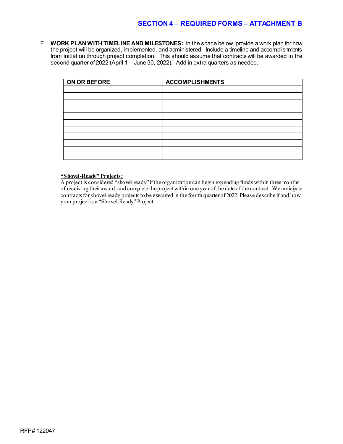F. **WORK PLAN WITH TIMELINE AND MILESTONES:** In the space below, provide a work plan for how the project will be organized, implemented, and administered. Include a timeline and accomplishments from initiation through project completion. This should assume that contracts will be awarded in the second quarter of 2022 (April 1 – June 30, 2022). Add in extra quarters as needed.

| ON OR BEFORE | <b>ACCOMPLISHMENTS</b> |
|--------------|------------------------|
|              |                        |
|              |                        |
|              |                        |
|              |                        |
|              |                        |
|              |                        |
|              |                        |
|              |                        |
|              |                        |
|              |                        |
|              |                        |

#### **"Shovel-Ready" Projects:**

A project is considered "shovel-ready" if the organization can begin expending funds within three months of receiving their award, and complete the project within one year of the date of the contract. We anticipate contracts for shovel-ready projects to be executed in the fourth quarter of 2022. Please describe if and how your project is a "Shovel-Ready" Project.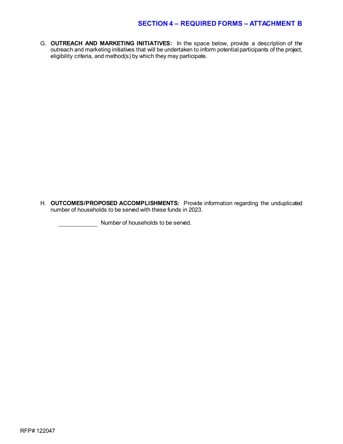G. **OUTREACH AND MARKETING INITIATIVES:** In the space below, provide a description of the outreach and marketing initiatives that will be undertaken to inform potential participants of the project, eligibility criteria, and method(s) by which they may participate.

H. **OUTCOMES/PROPOSED ACCOMPLISHMENTS:** Provide information regarding the unduplicated number of households to be served with these funds in 2023.

Number of households to be served.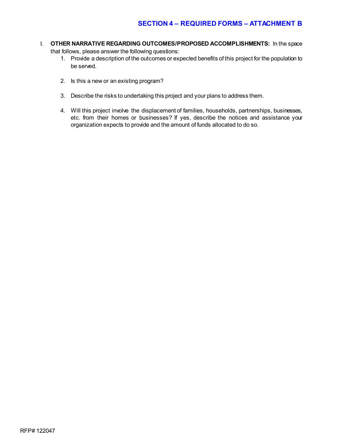- I. **OTHER NARRATIVE REGARDING OUTCOMES/PROPOSED ACCOMPLISHMENTS:** In the space that follows, please answer the following questions:
	- 1. Provide a description of the outcomes or expected benefits of this project for the population to be served.
	- 2. Is this a new or an existing program?
	- 3. Describe the risks to undertaking this project and your plans to address them.
	- 4. Will this project involve the displacement of families, households, partnerships, businesses, etc. from their homes or businesses? If yes, describe the notices and assistance your organization expects to provide and the amount of funds allocated to do so.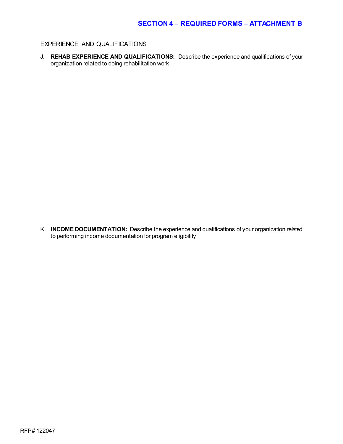#### EXPERIENCE AND QUALIFICATIONS

J. **REHAB EXPERIENCE AND QUALIFICATIONS:** Describe the experience and qualifications of your organization related to doing rehabilitation work.

K. **INCOME DOCUMENTATION:** Describe the experience and qualifications of your organization related to performing income documentation for program eligibility.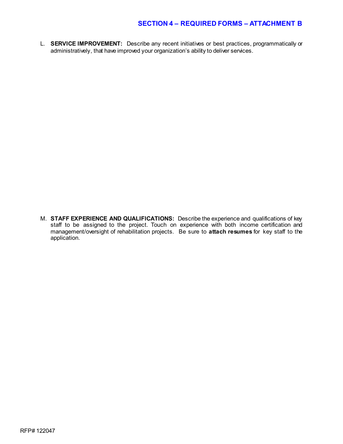L. **SERVICE IMPROVEMENT:** Describe any recent initiatives or best practices, programmatically or administratively, that have improved your organization's ability to deliver services.

M. **STAFF EXPERIENCE AND QUALIFICATIONS:** Describe the experience and qualifications of key staff to be assigned to the project. Touch on experience with both income certification and management/oversight of rehabilitation projects. Be sure to **attach resumes** for key staff to the application.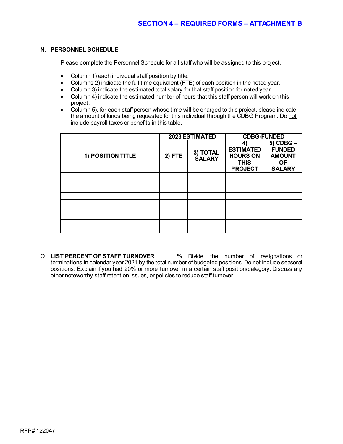#### **N. PERSONNEL SCHEDULE**

Please complete the Personnel Schedule for all staff who will be assigned to this project.

- Column 1) each individual staff position by title.
- Columns 2) indicate the full time equivalent (FTE) of each position in the noted year.
- Column 3) indicate the estimated total salary for that staff position for noted year.
- Column 4) indicate the estimated number of hours that this staff person will work on this project.
- Column 5), for each staff person whose time will be charged to this project, please indicate the amount of funds being requested for this individual through the CDBG Program. Do not include payroll taxes or benefits in this table.

|                   |               | 2023 ESTIMATED            | <b>CDBG-FUNDED</b>                                                        |                                                                           |  |
|-------------------|---------------|---------------------------|---------------------------------------------------------------------------|---------------------------------------------------------------------------|--|
| 1) POSITION TITLE | <b>2) FTE</b> | 3) TOTAL<br><b>SALARY</b> | 4<br><b>ESTIMATED</b><br><b>HOURS ON</b><br><b>THIS</b><br><b>PROJECT</b> | 5) CDBG -<br><b>FUNDED</b><br><b>AMOUNT</b><br><b>OF</b><br><b>SALARY</b> |  |
|                   |               |                           |                                                                           |                                                                           |  |
|                   |               |                           |                                                                           |                                                                           |  |
|                   |               |                           |                                                                           |                                                                           |  |
|                   |               |                           |                                                                           |                                                                           |  |
|                   |               |                           |                                                                           |                                                                           |  |
|                   |               |                           |                                                                           |                                                                           |  |
|                   |               |                           |                                                                           |                                                                           |  |
|                   |               |                           |                                                                           |                                                                           |  |
|                   |               |                           |                                                                           |                                                                           |  |

O. LIST PERCENT OF STAFF TURNOVER **6. 2008** Divide the number of resignations or terminations in calendar year 2021 by the total number of budgeted positions. Do not include seasonal positions. Explain if you had 20% or more turnover in a certain staff position/category. Discuss any other noteworthy staff retention issues, or policies to reduce staff turnover.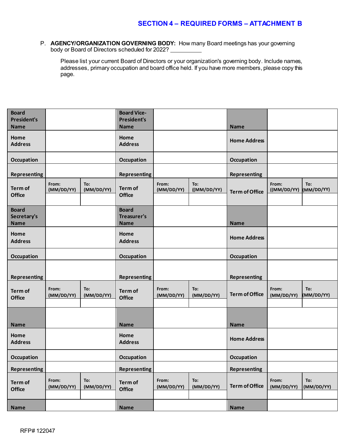P. **AGENCY/ORGANIZATION GOVERNING BODY:** How many Board meetings has your governing body or Board of Directors scheduled for 2022?

Please list your current Board of Directors or your organization's governing body. Include names, addresses, primary occupation and board office held. If you have more members, please copy this page.

| <b>Board</b><br><b>President's</b><br><b>Name</b> |                     |                   | <b>Board Vice-</b><br><b>President's</b><br><b>Name</b> |                     |                    | <b>Name</b>           |                      |                   |
|---------------------------------------------------|---------------------|-------------------|---------------------------------------------------------|---------------------|--------------------|-----------------------|----------------------|-------------------|
| Home<br><b>Address</b>                            |                     |                   | Home<br><b>Address</b>                                  |                     |                    | <b>Home Address</b>   |                      |                   |
| <b>Occupation</b>                                 |                     |                   | Occupation                                              |                     |                    | Occupation            |                      |                   |
| <b>Representing</b>                               |                     |                   | <b>Representing</b>                                     |                     |                    | <b>Representing</b>   |                      |                   |
| Term of<br><b>Office</b>                          | From:<br>(MM/DD/YY) | To:<br>(MM/DD/YY) | Term of<br><b>Office</b>                                | From:<br>(MM/DD/YY) | To:<br>((MM/DD/YY) | <b>Term of Office</b> | From:<br>((MM/DD/YY) | To:<br>(MM/DD/YY) |
| <b>Board</b><br>Secretary's<br><b>Name</b>        |                     |                   | <b>Board</b><br>Treasurer's<br><b>Name</b>              |                     |                    | <b>Name</b>           |                      |                   |
| Home<br><b>Address</b>                            |                     |                   | Home<br><b>Address</b>                                  |                     |                    | <b>Home Address</b>   |                      |                   |
| <b>Occupation</b>                                 |                     |                   | Occupation                                              |                     |                    | Occupation            |                      |                   |
| <b>Representing</b>                               |                     |                   | <b>Representing</b>                                     |                     |                    | <b>Representing</b>   |                      |                   |
| Term of<br><b>Office</b>                          | From:<br>(MM/DD/YY) | To:<br>(MM/DD/YY) | Term of<br><b>Office</b>                                | From:<br>(MM/DD/YY) | To:<br>(MM/DD/YY)  | <b>Term of Office</b> | From:<br>(MM/DD/YY)  | To:<br>(MM/DD/YY) |
| <b>Name</b>                                       |                     |                   | <b>Name</b>                                             |                     |                    | <b>Name</b>           |                      |                   |
| Home<br><b>Address</b>                            |                     |                   | Home<br><b>Address</b>                                  |                     |                    | <b>Home Address</b>   |                      |                   |
| <b>Occupation</b>                                 |                     |                   | <b>Occupation</b>                                       |                     |                    | Occupation            |                      |                   |
| <b>Representing</b>                               |                     |                   | <b>Representing</b>                                     |                     |                    | <b>Representing</b>   |                      |                   |
| Term of<br><b>Office</b>                          | From:<br>(MM/DD/YY) | To:<br>(MM/DD/YY) | Term of<br><b>Office</b>                                | From:<br>(MM/DD/YY) | To:<br>(MM/DD/YY)  | <b>Term of Office</b> | From:<br>(MM/DD/YY)  | To:<br>(MM/DD/YY) |
| <b>Name</b>                                       |                     |                   | <b>Name</b>                                             |                     |                    | <b>Name</b>           |                      |                   |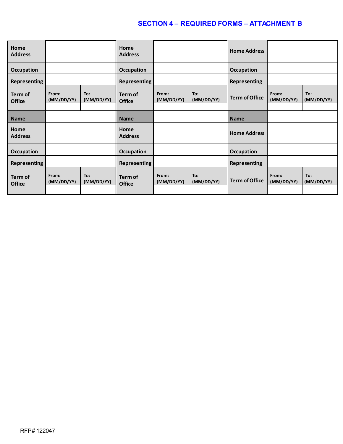| Home<br><b>Address</b>   |                     |                   | Home<br><b>Address</b>   |                     |                   | <b>Home Address</b>   |                     |                   |  |
|--------------------------|---------------------|-------------------|--------------------------|---------------------|-------------------|-----------------------|---------------------|-------------------|--|
| Occupation               |                     |                   | Occupation               |                     |                   | <b>Occupation</b>     |                     |                   |  |
| <b>Representing</b>      |                     |                   | <b>Representing</b>      |                     |                   | <b>Representing</b>   |                     |                   |  |
| Term of<br><b>Office</b> | From:<br>(MM/DD/YY) | To:<br>(MM/DD/YY) | Term of<br><b>Office</b> | From:<br>(MM/DD/YY) | To:<br>(MM/DD/YY) | <b>Term of Office</b> | From:<br>(MM/DD/YY) | To:<br>(MM/DD/YY) |  |
|                          |                     |                   |                          |                     |                   |                       |                     |                   |  |
| <b>Name</b>              |                     |                   | <b>Name</b>              |                     |                   | <b>Name</b>           |                     |                   |  |
| Home<br><b>Address</b>   |                     |                   | Home<br><b>Address</b>   |                     |                   | <b>Home Address</b>   |                     |                   |  |
| <b>Occupation</b>        |                     |                   | <b>Occupation</b>        |                     |                   | <b>Occupation</b>     |                     |                   |  |
| <b>Representing</b>      |                     |                   | Representing             |                     |                   | <b>Representing</b>   |                     |                   |  |
| Term of<br><b>Office</b> | From:<br>(MM/DD/YY) | To:<br>(MM/DD/YY) | Term of<br><b>Office</b> | From:<br>(MM/DD/YY) | To:<br>(MM/DD/YY) | <b>Term of Office</b> | From:<br>(MM/DD/YY) | To:<br>(MM/DD/YY) |  |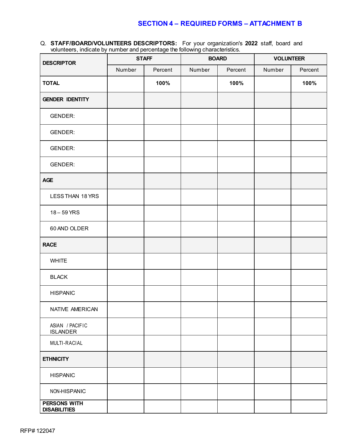Q. **STAFF/BOARD/VOLUNTEERS DESCRIPTORS:** For your organization's **2022** staff, board and volunteers, indicate by number and percentage the following characteristics.

| <b>DESCRIPTOR</b>                          |        | <b>STAFF</b> |        | <b>BOARD</b> | <b>VOLUNTEER</b> |         |  |
|--------------------------------------------|--------|--------------|--------|--------------|------------------|---------|--|
|                                            | Number | Percent      | Number | Percent      | Number           | Percent |  |
| <b>TOTAL</b>                               |        | 100%         |        | 100%         |                  | 100%    |  |
| <b>GENDER IDENTITY</b>                     |        |              |        |              |                  |         |  |
| GENDER:                                    |        |              |        |              |                  |         |  |
| <b>GENDER:</b>                             |        |              |        |              |                  |         |  |
| <b>GENDER:</b>                             |        |              |        |              |                  |         |  |
| GENDER:                                    |        |              |        |              |                  |         |  |
| <b>AGE</b>                                 |        |              |        |              |                  |         |  |
| LESS THAN 18 YRS                           |        |              |        |              |                  |         |  |
| 18 - 59 YRS                                |        |              |        |              |                  |         |  |
| 60 AND OLDER                               |        |              |        |              |                  |         |  |
| <b>RACE</b>                                |        |              |        |              |                  |         |  |
| <b>WHITE</b>                               |        |              |        |              |                  |         |  |
| <b>BLACK</b>                               |        |              |        |              |                  |         |  |
| <b>HISPANIC</b>                            |        |              |        |              |                  |         |  |
| NATIVE AMERICAN                            |        |              |        |              |                  |         |  |
| ASIAN / PACIFIC<br><b>ISLANDER</b>         |        |              |        |              |                  |         |  |
| MULTI-RACIAL                               |        |              |        |              |                  |         |  |
| <b>ETHNICITY</b>                           |        |              |        |              |                  |         |  |
| <b>HISPANIC</b>                            |        |              |        |              |                  |         |  |
| NON-HISPANIC                               |        |              |        |              |                  |         |  |
| <b>PERSONS WITH</b><br><b>DISABILITIES</b> |        |              |        |              |                  |         |  |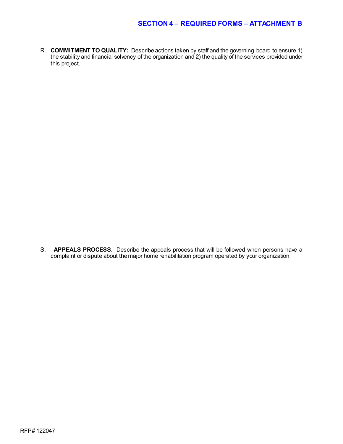R. **COMMITMENT TO QUALITY:** Describe actions taken by staff and the governing board to ensure 1) the stability and financial solvency of the organization and 2) the quality of the services provided under this project.

S. **APPEALS PROCESS.** Describe the appeals process that will be followed when persons have a complaint or dispute about the major home rehabilitation program operated by your organization.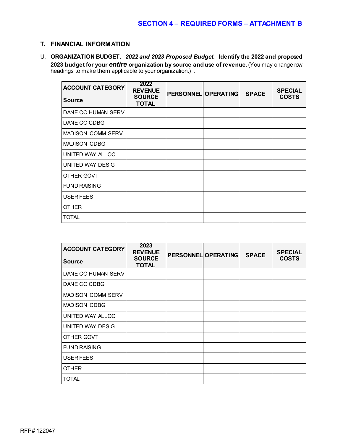#### **T. FINANCIAL INFORMATION**

U. **ORGANIZATION BUDGET.** *2022 and 2023 Proposed Budget.* **Identify the 2022 and proposed 2023 budget for your** *entire* **organization by source and use of revenue.** (You may change row headings to make them applicable to your organization.) .

| <b>ACCOUNT CATEGORY</b>  | 2022<br><b>REVENUE</b><br><b>SOURCE</b> | <b>PERSONNEL OPERATING</b> | <b>SPACE</b> | <b>SPECIAL</b><br><b>COSTS</b> |  |
|--------------------------|-----------------------------------------|----------------------------|--------------|--------------------------------|--|
| <b>Source</b>            | <b>TOTAL</b>                            |                            |              |                                |  |
| DANE CO HUMAN SERV       |                                         |                            |              |                                |  |
| DANE CO CDBG             |                                         |                            |              |                                |  |
| <b>MADISON COMM SERV</b> |                                         |                            |              |                                |  |
| <b>MADISON CDBG</b>      |                                         |                            |              |                                |  |
| UNITED WAY ALLOC         |                                         |                            |              |                                |  |
| UNITED WAY DESIG         |                                         |                            |              |                                |  |
| OTHER GOVT               |                                         |                            |              |                                |  |
| <b>FUND RAISING</b>      |                                         |                            |              |                                |  |
| USER FEES                |                                         |                            |              |                                |  |
| <b>OTHER</b>             |                                         |                            |              |                                |  |
| <b>TOTAL</b>             |                                         |                            |              |                                |  |

| <b>ACCOUNT CATEGORY</b><br><b>Source</b> | 2023<br><b>REVENUE</b><br><b>SOURCE</b><br><b>TOTAL</b> | <b>PERSONNEL OPERATING</b> | <b>SPACE</b> | <b>SPECIAL</b><br><b>COSTS</b> |
|------------------------------------------|---------------------------------------------------------|----------------------------|--------------|--------------------------------|
| DANE CO HUMAN SERV                       |                                                         |                            |              |                                |
| DANE CO CDBG                             |                                                         |                            |              |                                |
| <b>MADISON COMM SERV</b>                 |                                                         |                            |              |                                |
| <b>MADISON CDBG</b>                      |                                                         |                            |              |                                |
| UNITED WAY ALLOC                         |                                                         |                            |              |                                |
| UNITED WAY DESIG                         |                                                         |                            |              |                                |
| OTHER GOVT                               |                                                         |                            |              |                                |
| <b>FUND RAISING</b>                      |                                                         |                            |              |                                |
| USER FEES                                |                                                         |                            |              |                                |
| <b>OTHER</b>                             |                                                         |                            |              |                                |
| <b>TOTAL</b>                             |                                                         |                            |              |                                |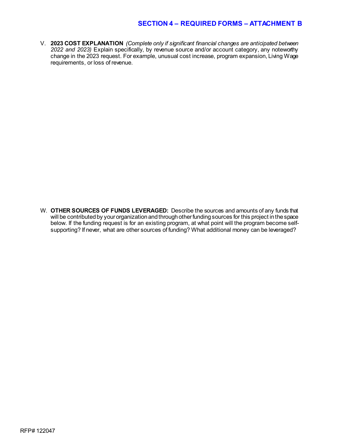V. **2023 COST EXPLANATION** *(Complete only if significant financial changes are anticipated between 2022 and 2023)* Explain specifically, by revenue source and/or account category, any noteworthy change in the 2023 request. For example, unusual cost increase, program expansion, Living Wage requirements, or loss of revenue.

W. **OTHER SOURCES OF FUNDS LEVERAGED:** Describe the sources and amounts of any funds that will be contributed by your organization and through other funding sources for this project in the space below. If the funding request is for an existing program, at what point will the program become selfsupporting? If never, what are other sources of funding? What additional money can be leveraged?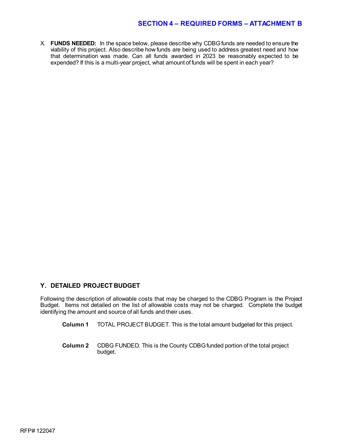X. **FUNDS NEEDED:** In the space below, please describe why CDBG funds are needed to ensure the viability of this project. Also describe how funds are being used to address greatest need and how that determination was made. Can all funds awarded in 2023 be reasonably expected to be expended? If this is a multi-year project, what amount of funds will be spent in each year?

#### **Y. DETAILED PROJECT BUDGET**

Following the description of allowable costs that may be charged to the CDBG Program is the Project Budget. Items not detailed on the list of allowable costs may not be charged. Complete the budget identifying the amount and source of all funds and their uses.

- **Column 1** TOTAL PROJECT BUDGET. This is the total amount budgeted for this project.
- **Column 2** CDBG FUNDED. This is the County CDBG funded portion of the total project budget.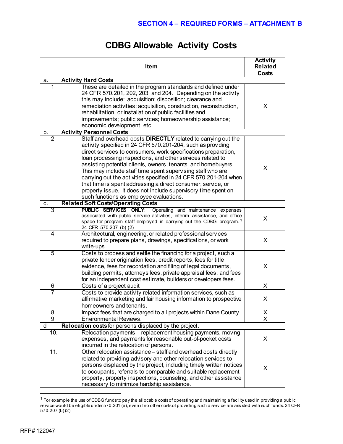# **CDBG Allowable Activity Costs**

| <b>Item</b>                                                                                                                                                                                                                                                                                                                                                                                                                                                                                                                                                                                                                                                      | <b>Activity</b><br><b>Related</b><br>Costs |
|------------------------------------------------------------------------------------------------------------------------------------------------------------------------------------------------------------------------------------------------------------------------------------------------------------------------------------------------------------------------------------------------------------------------------------------------------------------------------------------------------------------------------------------------------------------------------------------------------------------------------------------------------------------|--------------------------------------------|
| <b>Activity Hard Costs</b><br>a.                                                                                                                                                                                                                                                                                                                                                                                                                                                                                                                                                                                                                                 |                                            |
| These are detailed in the program standards and defined under<br>1.<br>24 CFR 570.201, 202, 203, and 204. Depending on the activity<br>this may include: acquisition; disposition; clearance and<br>remediation activities; acquisition, construction, reconstruction,<br>rehabilitation, or installation of public facilities and<br>improvements; public services; homeownership assistance;<br>economic development, etc.                                                                                                                                                                                                                                     | X                                          |
| <b>Activity Personnel Costs</b><br>b.                                                                                                                                                                                                                                                                                                                                                                                                                                                                                                                                                                                                                            |                                            |
| $\overline{2}$ .<br>Staff and overhead costs DIRECTLY related to carrying out the<br>activity specified in 24 CFR 570.201-204, such as providing<br>direct services to consumers, work specifications preparation,<br>loan processing inspections, and other services related to<br>assisting potential clients, owners, tenants, and homebuyers.<br>This may include staff time spent supervising staff who are<br>carrying out the activities specified in 24 CFR 570.201-204 when<br>that time is spent addressing a direct consumer, service, or<br>property issue. It does not include supervisory time spent on<br>such functions as employee evaluations. | X                                          |
| <b>Related Soft Costs/Operating Costs</b><br>C.                                                                                                                                                                                                                                                                                                                                                                                                                                                                                                                                                                                                                  |                                            |
| PUBLIC SERVICES ONLY: Operating and maintenance expenses<br>3.<br>associated with public service activities, interim assistance, and office<br>space for program staff employed in carrying out the CDBG program. <sup>1</sup><br>24 CFR 570.207 (b) (2)                                                                                                                                                                                                                                                                                                                                                                                                         | X                                          |
| Architectural, engineering, or related professional services<br>4.<br>required to prepare plans, drawings, specifications, or work<br>write-ups.                                                                                                                                                                                                                                                                                                                                                                                                                                                                                                                 | X                                          |
| 5.<br>Costs to process and settle the financing for a project, such a<br>private lender origination fees, credit reports, fees for title<br>evidence, fees for recordation and filing of legal documents,<br>building permits, attorneys fees, private appraisal fees, and fees<br>for an independent cost estimate, builders or developers fees.                                                                                                                                                                                                                                                                                                                | X                                          |
| 6.<br>Costs of a project audit                                                                                                                                                                                                                                                                                                                                                                                                                                                                                                                                                                                                                                   | X                                          |
| 7.<br>Costs to provide activity related information services, such as<br>affirmative marketing and fair housing information to prospective<br>homeowners and tenants                                                                                                                                                                                                                                                                                                                                                                                                                                                                                             | X                                          |
| 8.<br>Impact fees that are charged to all projects within Dane County.                                                                                                                                                                                                                                                                                                                                                                                                                                                                                                                                                                                           | X                                          |
| 9.<br><b>Environmental Reviews.</b>                                                                                                                                                                                                                                                                                                                                                                                                                                                                                                                                                                                                                              | $\overline{\mathsf{x}}$                    |
| Relocation costs for persons displaced by the project.<br>d                                                                                                                                                                                                                                                                                                                                                                                                                                                                                                                                                                                                      |                                            |
| Relocation payments - replacement housing payments, moving<br>10.<br>expenses, and payments for reasonable out-of-pocket costs<br>incurred in the relocation of persons.                                                                                                                                                                                                                                                                                                                                                                                                                                                                                         | X                                          |
| 11.<br>Other relocation assistance - staff and overhead costs directly<br>related to providing advisory and other relocation services to<br>persons displaced by the project, including timely written notices<br>to occupants, referrals to comparable and suitable replacement<br>property, property inspections, counseling, and other assistance<br>necessary to minimize hardship assistance.                                                                                                                                                                                                                                                               | X                                          |

<span id="page-19-0"></span> $1$  For example the use of CDBG funds to pay the allocable costs of operating and maintaining a facility used in providing a public service would be eligible under 570.201 (e), even if no other costs of providing such a service are assisted with such funds. 24 CFR 570.207 (b) (2).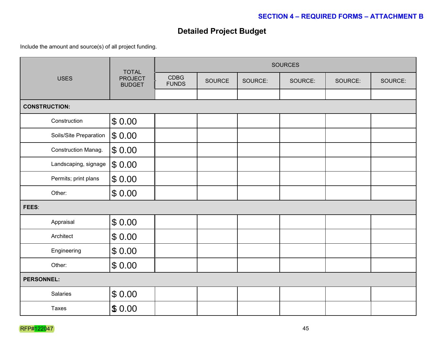# **Detailed Project Budget**

Include the amount and source(s) of all project funding.

| <b>USES</b>            | <b>TOTAL</b>                    | <b>SOURCES</b>              |        |         |         |         |         |
|------------------------|---------------------------------|-----------------------------|--------|---------|---------|---------|---------|
|                        | <b>PROJECT</b><br><b>BUDGET</b> | <b>CDBG</b><br><b>FUNDS</b> | SOURCE | SOURCE: | SOURCE: | SOURCE: | SOURCE: |
|                        |                                 |                             |        |         |         |         |         |
| <b>CONSTRUCTION:</b>   |                                 |                             |        |         |         |         |         |
| Construction           | \$0.00                          |                             |        |         |         |         |         |
| Soils/Site Preparation | \$0.00                          |                             |        |         |         |         |         |
| Construction Manag.    | \$0.00                          |                             |        |         |         |         |         |
| Landscaping, signage   | \$0.00                          |                             |        |         |         |         |         |
| Permits; print plans   | \$0.00                          |                             |        |         |         |         |         |
| Other:                 | \$0.00                          |                             |        |         |         |         |         |
| FEES:                  |                                 |                             |        |         |         |         |         |
| Appraisal              | \$0.00                          |                             |        |         |         |         |         |
| Architect              | \$0.00                          |                             |        |         |         |         |         |
| Engineering            | \$0.00                          |                             |        |         |         |         |         |
| Other:                 | \$0.00                          |                             |        |         |         |         |         |
| <b>PERSONNEL:</b>      |                                 |                             |        |         |         |         |         |
| Salaries               | \$0.00                          |                             |        |         |         |         |         |
| Taxes                  | \$0.00                          |                             |        |         |         |         |         |